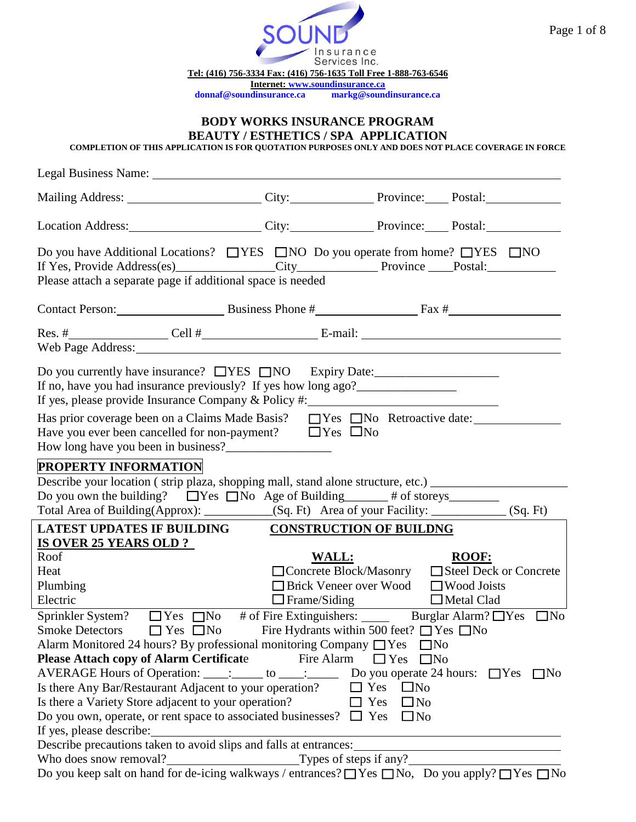

#### **BODY WORKS INSURANCE PROGRAM BEAUTY / ESTHETICS / SPA APPLICATION**

**COMPLETION OF THIS APPLICATION IS FOR QUOTATION PURPOSES ONLY AND DOES NOT PLACE COVERAGE IN FORCE**

| Mailing Address: City: City: Province: Postal: Postal:                                                                                                                                                                                                                                                                                                                                                                                |                        |                                                                                                 |                                                                   |
|---------------------------------------------------------------------------------------------------------------------------------------------------------------------------------------------------------------------------------------------------------------------------------------------------------------------------------------------------------------------------------------------------------------------------------------|------------------------|-------------------------------------------------------------------------------------------------|-------------------------------------------------------------------|
| Location Address: City: City: Province: Postal: Postal:                                                                                                                                                                                                                                                                                                                                                                               |                        |                                                                                                 |                                                                   |
| Do you have Additional Locations? $\Box$ YES $\Box$ NO Do you operate from home? $\Box$ YES $\Box$ NO<br>Please attach a separate page if additional space is needed                                                                                                                                                                                                                                                                  |                        |                                                                                                 |                                                                   |
| Contact Person: Business Phone # Fax #                                                                                                                                                                                                                                                                                                                                                                                                |                        |                                                                                                 |                                                                   |
| Res. # Cell # Cell # Cell # Cell + Cell + Cell + Cell + Cell + Cell + Cell + Cell + Cell + Cell + Cell + Cell + Cell + Cell + Cell + Cell + Cell + Cell + Cell + Cell + Cell + Cell + Cell + Cell + Cell + Cell + Cell + Cell                                                                                                                                                                                                         |                        |                                                                                                 |                                                                   |
| Do you currently have insurance? □YES □NO Expiry Date:<br>If no, have you had insurance previously? If yes how long ago?___________________                                                                                                                                                                                                                                                                                           |                        |                                                                                                 |                                                                   |
| Has prior coverage been on a Claims Made Basis? □ Yes □ No Retroactive date:<br>Have you ever been cancelled for non-payment? $\Box$ Yes $\Box$ No                                                                                                                                                                                                                                                                                    |                        |                                                                                                 |                                                                   |
| <b>PROPERTY INFORMATION</b><br>Describe your location (strip plaza, shopping mall, stand alone structure, etc.) __________________<br>Do you own the building? $\Box$ Yes $\Box$ No Age of Building $\Box$ # of storeys $\Box$<br>Total Area of Building(Approx): __________(Sq. Ft) Area of your Facility: _________(Sq. Ft)                                                                                                         |                        |                                                                                                 |                                                                   |
| <b>LATEST UPDATES IF BUILDING</b>                                                                                                                                                                                                                                                                                                                                                                                                     |                        | <b>CONSTRUCTION OF BUILDNG</b>                                                                  |                                                                   |
| <b>IS OVER 25 YEARS OLD ?</b><br>Roof<br>Heat<br>Plumbing<br>Electric                                                                                                                                                                                                                                                                                                                                                                 |                        | <b>WALL:</b><br>□ Brick Veneer over Wood □ Wood Joists<br>$\Box$ Frame/Siding $\Box$ Metal Clad | <b>ROOF:</b><br>□ Concrete Block/Masonry □ Steel Deck or Concrete |
| Sprinkler System?<br><u> OYes</u> <sub> ON</sub> # of Fire Extinguishers:  Burglar Alarm?  OYes <sub>No</sub><br>Smoke Detectors $\Box$ Yes $\Box$ No Fire Hydrants within 500 feet? $\Box$ Yes $\Box$ No<br>Alarm Monitored 24 hours? By professional monitoring Company $\Box$ Yes<br><b>Please Attach copy of Alarm Certificate</b><br>AVERAGE Hours of Operation: ____: _____ to ____: ______ Do you operate 24 hours: □ Yes □ No | Fire Alarm             | $\Box$ Yes $\Box$ No                                                                            | $\Box$ No                                                         |
| Is there Any Bar/Restaurant Adjacent to your operation?<br>Is there a Variety Store adjacent to your operation?<br>Do you own, operate, or rent space to associated businesses? $\Box$ Yes<br>If yes, please describe:<br>Describe precautions taken to avoid slips and falls at entrances:                                                                                                                                           |                        | $\Box$ Yes<br>$\square$ No<br>$\Box$ Yes<br>$\Box$ No<br>$\Box$ No                              |                                                                   |
| Who does snow removal?<br>Do you keep salt on hand for de-icing walkways / entrances? $\Box$ Yes $\Box$ No, Do you apply? $\Box$ Yes $\Box$ No                                                                                                                                                                                                                                                                                        | Types of steps if any? |                                                                                                 |                                                                   |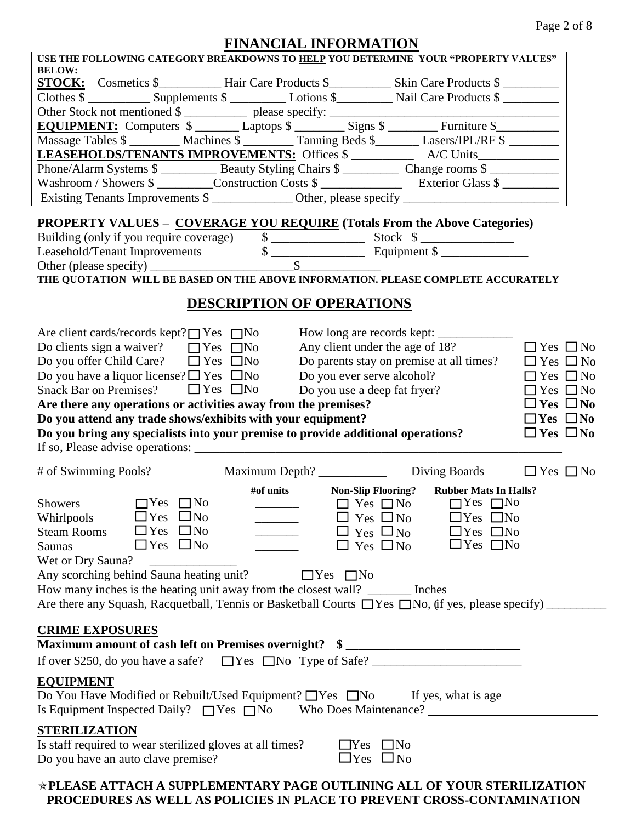| USE THE FOLLOWING CATEGORY BREAKDOWNS TO HELP YOU DETERMINE YOUR "PROPERTY VALUES"                                                                                                                                                                                                                                            |                      |
|-------------------------------------------------------------------------------------------------------------------------------------------------------------------------------------------------------------------------------------------------------------------------------------------------------------------------------|----------------------|
| <b>BELOW:</b>                                                                                                                                                                                                                                                                                                                 |                      |
|                                                                                                                                                                                                                                                                                                                               |                      |
|                                                                                                                                                                                                                                                                                                                               |                      |
|                                                                                                                                                                                                                                                                                                                               |                      |
| Massage Tables \$ ________ Machines \$ _________ Tanning Beds \$_______ Lasers/IPL/RF \$ _______                                                                                                                                                                                                                              |                      |
|                                                                                                                                                                                                                                                                                                                               |                      |
| Phone/Alarm Systems \$ ___________ Beauty Styling Chairs \$ __________ Change rooms \$ ____________                                                                                                                                                                                                                           |                      |
| Washroom / Showers \$ __________Construction Costs \$ _____________________________ Exterior Glass \$                                                                                                                                                                                                                         |                      |
|                                                                                                                                                                                                                                                                                                                               |                      |
|                                                                                                                                                                                                                                                                                                                               |                      |
| <b>PROPERTY VALUES - COVERAGE YOU REQUIRE (Totals From the Above Categories)</b>                                                                                                                                                                                                                                              |                      |
| Building (only if you require coverage) \$                                                                                                                                                                                                                                                                                    |                      |
| Leasehold/Tenant Improvements $\overline{\text{S}}$ Equipment $\overline{\text{S}}$                                                                                                                                                                                                                                           |                      |
|                                                                                                                                                                                                                                                                                                                               |                      |
| THE QUOTATION WILL BE BASED ON THE ABOVE INFORMATION. PLEASE COMPLETE ACCURATELY                                                                                                                                                                                                                                              |                      |
| <b>DESCRIPTION OF OPERATIONS</b>                                                                                                                                                                                                                                                                                              |                      |
|                                                                                                                                                                                                                                                                                                                               |                      |
| Are client cards/records kept? $\Box$ Yes $\Box$ No                                                                                                                                                                                                                                                                           |                      |
| Do clients sign a waiver? $\Box$ Yes $\Box$ No<br>Any client under the age of 18?                                                                                                                                                                                                                                             | $\Box$ Yes $\Box$ No |
| Do you offer Child Care? $\Box$ Yes $\Box$ No<br>Do parents stay on premise at all times?                                                                                                                                                                                                                                     | $\Box$ Yes $\Box$ No |
| Do you have a liquor license? $\Box$ Yes $\Box$ No<br>Do you ever serve alcohol?                                                                                                                                                                                                                                              | $\Box$ Yes $\Box$ No |
| Snack Bar on Premises? $\Box$ Yes $\Box$ No<br>Do you use a deep fat fryer?                                                                                                                                                                                                                                                   | $\Box$ Yes $\Box$ No |
| Are there any operations or activities away from the premises?                                                                                                                                                                                                                                                                | $\Box$ Yes $\Box$ No |
|                                                                                                                                                                                                                                                                                                                               |                      |
| Do you attend any trade shows/exhibits with your equipment?                                                                                                                                                                                                                                                                   | $\Box$ Yes $\Box$ No |
| Do you bring any specialists into your premise to provide additional operations?                                                                                                                                                                                                                                              | $\Box$ Yes $\Box$ No |
|                                                                                                                                                                                                                                                                                                                               |                      |
|                                                                                                                                                                                                                                                                                                                               |                      |
|                                                                                                                                                                                                                                                                                                                               |                      |
| #of units Non-Slip Flooring? Rubber Mats In Halls?                                                                                                                                                                                                                                                                            |                      |
| $\Box$ Yes $\Box$ No<br><b>Showers</b>                                                                                                                                                                                                                                                                                        |                      |
| Whirlpools $\Box$ Yes $\Box$ No                                                                                                                                                                                                                                                                                               |                      |
| $\begin{array}{ccc}\n\Box & \text{Yes} \quad \Box \text{no} \\ \hline\n\Box & \text{Yes} \quad \Box \text{No} \\ \Box & \text{Yes} \quad \Box \text{No} \\ \Box & \text{Yes} \quad \Box \text{No} \\ \Box & \text{Yes} \quad \Box \text{Yes} \quad \Box \text{No}\n\end{array}$<br>$\Box$ Yes $\Box$ No<br><b>Steam Rooms</b> |                      |
| $\Box$ Yes $\Box$ No<br>$\Box$ Yes $\Box$ No<br><b>Saunas</b>                                                                                                                                                                                                                                                                 | $\Box$ Yes $\Box$ No |
| Wet or Dry Sauna?                                                                                                                                                                                                                                                                                                             |                      |
| Any scorching behind Sauna heating unit?<br>$\Box$ Yes $\Box$ No                                                                                                                                                                                                                                                              |                      |
| How many inches is the heating unit away from the closest wall? _______ Inches                                                                                                                                                                                                                                                |                      |
| Are there any Squash, Racquetball, Tennis or Basketball Courts □ Yes □ No, (if yes, please specify) _____                                                                                                                                                                                                                     |                      |
|                                                                                                                                                                                                                                                                                                                               |                      |
| <b>CRIME EXPOSURES</b>                                                                                                                                                                                                                                                                                                        |                      |
| Maximum amount of cash left on Premises overnight? \$                                                                                                                                                                                                                                                                         |                      |
|                                                                                                                                                                                                                                                                                                                               |                      |
| <b>EQUIPMENT</b>                                                                                                                                                                                                                                                                                                              |                      |
| Do You Have Modified or Rebuilt/Used Equipment? □ Yes □ No If yes, what is age _______                                                                                                                                                                                                                                        |                      |
|                                                                                                                                                                                                                                                                                                                               |                      |
| <b>STERILIZATION</b>                                                                                                                                                                                                                                                                                                          |                      |
| Is staff required to wear sterilized gloves at all times?<br>$\Box$ Yes<br>$\Box$ No<br>$\Box$ Yes $\Box$ No<br>Do you have an auto clave premise?                                                                                                                                                                            |                      |

### **PLEASE ATTACH A SUPPLEMENTARY PAGE OUTLINING ALL OF YOUR STERILIZATION PROCEDURES AS WELL AS POLICIES IN PLACE TO PREVENT CROSS-CONTAMINATION**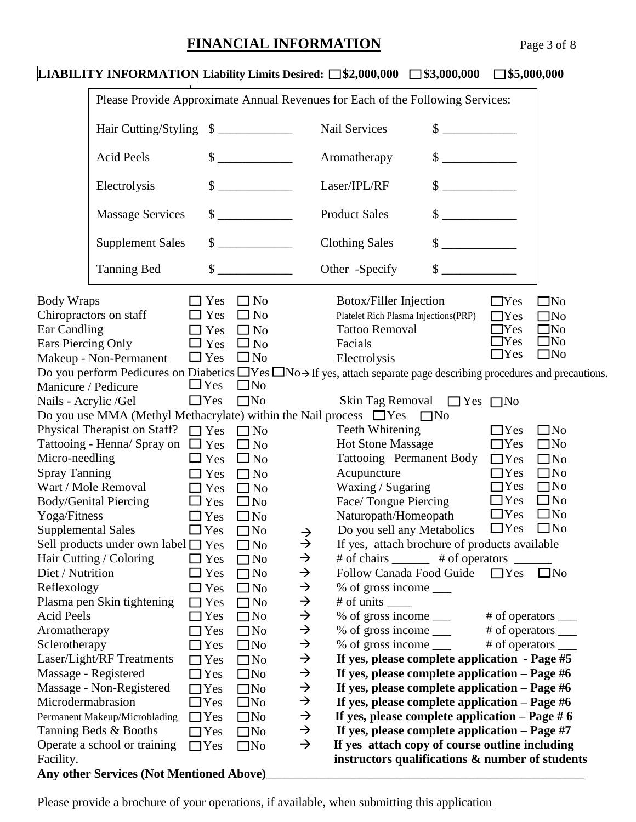| <b>LIABILITY INFORMATION</b> Liability Limits Desired: $\Box$ \$2,000,000 $\Box$ \$3,000,000                                                                                                                                                                                                                                                                                                                                                                                                                                                                                                                                                                                                                                                                                                                                                                                                                                              |                                                                                                                                                                                                                                                                                                                                                 |                                                                                                                                                                                                                                                                                                                                                                                          |                                                                                                                                                                                                                           |                                                                                                                                                                                                                                                                                                                                       |                                                                                                                                                                                                                                                                                                                                                                                                                                                                                                                                          | $\square$ \$5,000,000                                                                                                                                                                                                                        |                                                                                                                                                                                                              |
|-------------------------------------------------------------------------------------------------------------------------------------------------------------------------------------------------------------------------------------------------------------------------------------------------------------------------------------------------------------------------------------------------------------------------------------------------------------------------------------------------------------------------------------------------------------------------------------------------------------------------------------------------------------------------------------------------------------------------------------------------------------------------------------------------------------------------------------------------------------------------------------------------------------------------------------------|-------------------------------------------------------------------------------------------------------------------------------------------------------------------------------------------------------------------------------------------------------------------------------------------------------------------------------------------------|------------------------------------------------------------------------------------------------------------------------------------------------------------------------------------------------------------------------------------------------------------------------------------------------------------------------------------------------------------------------------------------|---------------------------------------------------------------------------------------------------------------------------------------------------------------------------------------------------------------------------|---------------------------------------------------------------------------------------------------------------------------------------------------------------------------------------------------------------------------------------------------------------------------------------------------------------------------------------|------------------------------------------------------------------------------------------------------------------------------------------------------------------------------------------------------------------------------------------------------------------------------------------------------------------------------------------------------------------------------------------------------------------------------------------------------------------------------------------------------------------------------------------|----------------------------------------------------------------------------------------------------------------------------------------------------------------------------------------------------------------------------------------------|--------------------------------------------------------------------------------------------------------------------------------------------------------------------------------------------------------------|
| Please Provide Approximate Annual Revenues for Each of the Following Services:                                                                                                                                                                                                                                                                                                                                                                                                                                                                                                                                                                                                                                                                                                                                                                                                                                                            |                                                                                                                                                                                                                                                                                                                                                 |                                                                                                                                                                                                                                                                                                                                                                                          |                                                                                                                                                                                                                           |                                                                                                                                                                                                                                                                                                                                       |                                                                                                                                                                                                                                                                                                                                                                                                                                                                                                                                          |                                                                                                                                                                                                                                              |                                                                                                                                                                                                              |
| Hair Cutting/Styling \$                                                                                                                                                                                                                                                                                                                                                                                                                                                                                                                                                                                                                                                                                                                                                                                                                                                                                                                   |                                                                                                                                                                                                                                                                                                                                                 |                                                                                                                                                                                                                                                                                                                                                                                          |                                                                                                                                                                                                                           | Nail Services                                                                                                                                                                                                                                                                                                                         | $\frac{\text{S}}{\text{S}}$                                                                                                                                                                                                                                                                                                                                                                                                                                                                                                              |                                                                                                                                                                                                                                              |                                                                                                                                                                                                              |
| <b>Acid Peels</b>                                                                                                                                                                                                                                                                                                                                                                                                                                                                                                                                                                                                                                                                                                                                                                                                                                                                                                                         |                                                                                                                                                                                                                                                                                                                                                 | $\frac{\text{S}}{\text{S}}$                                                                                                                                                                                                                                                                                                                                                              |                                                                                                                                                                                                                           | Aromatherapy                                                                                                                                                                                                                                                                                                                          | $\sim$                                                                                                                                                                                                                                                                                                                                                                                                                                                                                                                                   |                                                                                                                                                                                                                                              |                                                                                                                                                                                                              |
| Electrolysis                                                                                                                                                                                                                                                                                                                                                                                                                                                                                                                                                                                                                                                                                                                                                                                                                                                                                                                              |                                                                                                                                                                                                                                                                                                                                                 | $\sim$                                                                                                                                                                                                                                                                                                                                                                                   |                                                                                                                                                                                                                           | Laser/IPL/RF                                                                                                                                                                                                                                                                                                                          | $\sim$                                                                                                                                                                                                                                                                                                                                                                                                                                                                                                                                   |                                                                                                                                                                                                                                              |                                                                                                                                                                                                              |
| <b>Massage Services</b>                                                                                                                                                                                                                                                                                                                                                                                                                                                                                                                                                                                                                                                                                                                                                                                                                                                                                                                   |                                                                                                                                                                                                                                                                                                                                                 | $\sim$                                                                                                                                                                                                                                                                                                                                                                                   |                                                                                                                                                                                                                           | <b>Product Sales</b>                                                                                                                                                                                                                                                                                                                  | $\sim$                                                                                                                                                                                                                                                                                                                                                                                                                                                                                                                                   |                                                                                                                                                                                                                                              |                                                                                                                                                                                                              |
| <b>Supplement Sales</b>                                                                                                                                                                                                                                                                                                                                                                                                                                                                                                                                                                                                                                                                                                                                                                                                                                                                                                                   |                                                                                                                                                                                                                                                                                                                                                 | $\frac{\text{S}}{\text{S}}$                                                                                                                                                                                                                                                                                                                                                              |                                                                                                                                                                                                                           | <b>Clothing Sales</b>                                                                                                                                                                                                                                                                                                                 | $\frac{1}{\sqrt{2}}$                                                                                                                                                                                                                                                                                                                                                                                                                                                                                                                     |                                                                                                                                                                                                                                              |                                                                                                                                                                                                              |
| <b>Tanning Bed</b>                                                                                                                                                                                                                                                                                                                                                                                                                                                                                                                                                                                                                                                                                                                                                                                                                                                                                                                        |                                                                                                                                                                                                                                                                                                                                                 | $\sim$                                                                                                                                                                                                                                                                                                                                                                                   |                                                                                                                                                                                                                           | Other -Specify                                                                                                                                                                                                                                                                                                                        | $\sim$                                                                                                                                                                                                                                                                                                                                                                                                                                                                                                                                   |                                                                                                                                                                                                                                              |                                                                                                                                                                                                              |
| <b>Body Wraps</b><br>Chiropractors on staff<br>Ear Candling<br>Ears Piercing Only<br>Makeup - Non-Permanent<br>Do you perform Pedicures on Diabetics $\Box$ Yes $\Box$ No $\rightarrow$ If yes, attach separate page describing procedures and precautions.<br>Manicure / Pedicure<br>Nails - Acrylic /Gel<br>Do you use MMA (Methyl Methacrylate) within the Nail process $\Box$ Yes $\Box$ No<br>Physical Therapist on Staff? $\Box$ Yes $\Box$ No<br>Tattooing - Henna/ Spray on $\Box$ Yes<br>Micro-needling<br><b>Spray Tanning</b><br>Wart / Mole Removal<br>Body/Genital Piercing<br>Yoga/Fitness<br><b>Supplemental Sales</b><br>Sell products under own label $\Box$ Yes<br>Hair Cutting / Coloring<br>Diet / Nutrition<br>Reflexology<br>Plasma pen Skin tightening<br><b>Acid Peels</b><br>Aromatherapy<br>Sclerotherapy<br>Laser/Light/RF Treatments<br>Massage - Registered<br>Massage - Non-Registered<br>Microdermabrasion | $\Box$ Yes<br>$\Box$ Yes<br>$\Box$ Yes<br>$\Box$ Yes<br>$\Box$ Yes<br>$\Box$ Yes<br>$\Box$ Yes<br>$\Box$ Yes<br>$\Box$ Yes<br>$\Box$ Yes<br>$\Box$ Yes<br>$\Box$ Yes<br>$\Box$ Yes<br>$\Box$ Yes<br>$\square$ Yes<br>$\Box$ Yes<br>$\Box$ Yes<br>$\Box$ Yes<br>$\Box$ Yes<br>$\Box$ Yes<br>$\Box$ Yes<br>$\Box$ Yes<br>$\Box$ Yes<br>$\Box$ Yes | $\Box$ No<br>$\Box$ No<br>$\Box$ No<br>$\square$ No<br>$\square$ No<br>$\square$ No<br>$\square$ No<br>$\square$ No<br>$\Box$ No<br>$\Box$ No<br>$\Box$ No<br>$\square$ No<br>$\Box$ No<br>$\square$ No<br>$\Box$ No<br>$\Box$ No<br>$\square$ No<br>$\Box$ No<br>$\Box$ No<br>$\square$ No<br>$\Box$ No<br>$\square$ No<br>$\square$ No<br>$\square$ No<br>$\square$ No<br>$\square$ No | $\rightarrow$<br>$\rightarrow$<br>$\rightarrow$<br>$\rightarrow$<br>$\rightarrow$<br>$\rightarrow$<br>$\rightarrow$<br>$\rightarrow$<br>$\rightarrow$<br>$\rightarrow$<br>$\rightarrow$<br>$\rightarrow$<br>$\rightarrow$ | Botox/Filler Injection<br><b>Tattoo Removal</b><br>Facials<br>Electrolysis<br>Teeth Whitening<br><b>Hot Stone Massage</b><br>Acupuncture<br>Waxing / Sugaring<br>Face/Tongue Piercing<br>Naturopath/Homeopath<br>$%$ of gross income $\_\_$<br># of units $\frac{1}{\sqrt{2}}$<br>% of gross income _____<br>% of gross income $\_\_$ | Platelet Rich Plasma Injections(PRP)<br>Skin Tag Removal $\Box$ Yes $\Box$ No<br>Tattooing – Permanent Body $\Box$ Yes<br>Do you sell any Metabolics $\Box$ Yes $\Box$ No<br>If yes, attach brochure of products available<br># of chairs _______ # of operators _____<br>Follow Canada Food Guide<br>% of gross income $\_\_$<br>If yes, please complete application - Page #5<br>If yes, please complete application $-$ Page #6<br>If yes, please complete application $-$ Page #6<br>If yes, please complete application $-$ Page #6 | $\Box$ Yes<br>$\Box$ Yes<br>$\Box$ Yes<br>$\Box$ Yes<br>$\Box$ Yes<br>$\Box$ Yes<br>$\Box$ Yes<br>$\Box$ Yes<br>$\Box$ Yes<br>$\Box$ Yes<br>$\Box$ Yes<br>$\Box$ Yes<br># of operators _____<br># of operators _____<br># of operators _____ | $\square$ No<br>$\square$ No<br>$\square$ No<br>$\square$ No<br>$\square$ No<br>$\square$ No<br>$\square$ No<br>$\square$ No<br>$\square$ No<br>$\square$ No<br>$\square$ No<br>$\square$ No<br>$\square$ No |
| Permanent Makeup/Microblading<br>Tanning Beds & Booths                                                                                                                                                                                                                                                                                                                                                                                                                                                                                                                                                                                                                                                                                                                                                                                                                                                                                    | $\Box$ Yes<br>$\Box$ Yes                                                                                                                                                                                                                                                                                                                        | $\Box$ No<br>$\square$ No                                                                                                                                                                                                                                                                                                                                                                | $\rightarrow$<br>$\rightarrow$                                                                                                                                                                                            |                                                                                                                                                                                                                                                                                                                                       | If yes, please complete application $-$ Page # 6<br>If yes, please complete application $-$ Page #7                                                                                                                                                                                                                                                                                                                                                                                                                                      |                                                                                                                                                                                                                                              |                                                                                                                                                                                                              |
| Operate a school or training<br>Facility.<br>Any other Services (Not Mentioned Above)                                                                                                                                                                                                                                                                                                                                                                                                                                                                                                                                                                                                                                                                                                                                                                                                                                                     | $\Box$ Yes                                                                                                                                                                                                                                                                                                                                      | $\square$ No                                                                                                                                                                                                                                                                                                                                                                             | $\rightarrow$                                                                                                                                                                                                             |                                                                                                                                                                                                                                                                                                                                       | If yes attach copy of course outline including<br>instructors qualifications & number of students                                                                                                                                                                                                                                                                                                                                                                                                                                        |                                                                                                                                                                                                                                              |                                                                                                                                                                                                              |

Please provide a brochure of your operations, if available, when submitting this application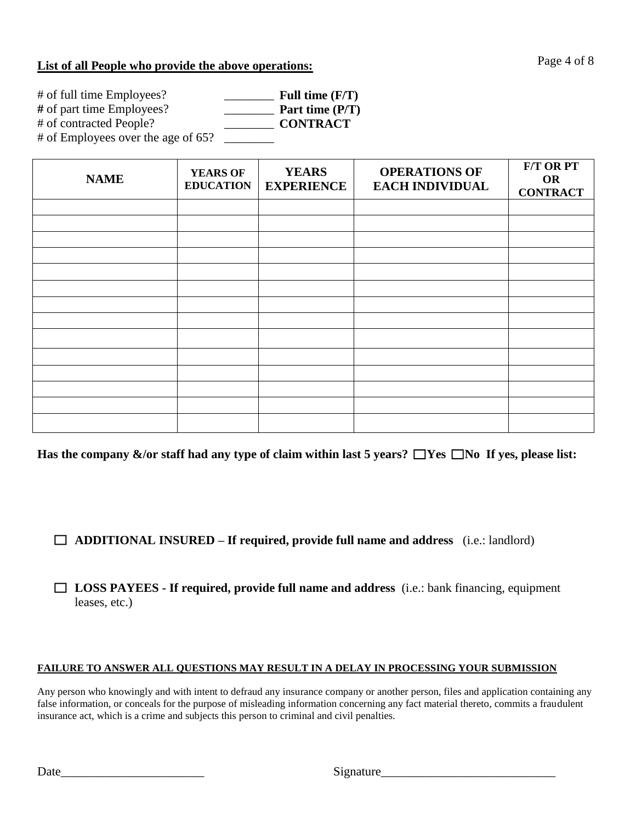### **List of all People who provide the above operations:**

| # of full time Employees?          | Full time $(F/T)$ |
|------------------------------------|-------------------|
| # of part time Employees?          | Part time $(P/T)$ |
| # of contracted People?            | <b>CONTRACT</b>   |
| # of Employees over the age of 65? |                   |

| <b>NAME</b> | <b>YEARS OF</b><br><b>EDUCATION</b> | <b>YEARS</b><br><b>EXPERIENCE</b> | <b>OPERATIONS OF</b><br><b>EACH INDIVIDUAL</b> | <b>F/T OR PT</b><br><b>OR</b><br><b>CONTRACT</b> |
|-------------|-------------------------------------|-----------------------------------|------------------------------------------------|--------------------------------------------------|
|             |                                     |                                   |                                                |                                                  |
|             |                                     |                                   |                                                |                                                  |
|             |                                     |                                   |                                                |                                                  |
|             |                                     |                                   |                                                |                                                  |
|             |                                     |                                   |                                                |                                                  |
|             |                                     |                                   |                                                |                                                  |
|             |                                     |                                   |                                                |                                                  |
|             |                                     |                                   |                                                |                                                  |
|             |                                     |                                   |                                                |                                                  |
|             |                                     |                                   |                                                |                                                  |
|             |                                     |                                   |                                                |                                                  |
|             |                                     |                                   |                                                |                                                  |
|             |                                     |                                   |                                                |                                                  |
|             |                                     |                                   |                                                |                                                  |

Has the company  $\&$ /or staff had any type of claim within last 5 years?  $\Box$ Yes  $\Box$ No If yes, please list:

**ADDITIONAL INSURED – If required, provide full name and address** (i.e.: landlord)

**LOSS PAYEES - If required, provide full name and address** (i.e.: bank financing, equipment leases, etc.)

#### **FAILURE TO ANSWER ALL QUESTIONS MAY RESULT IN A DELAY IN PROCESSING YOUR SUBMISSION**

Any person who knowingly and with intent to defraud any insurance company or another person, files and application containing any false information, or conceals for the purpose of misleading information concerning any fact material thereto, commits a fraudulent insurance act, which is a crime and subjects this person to criminal and civil penalties.

Date\_\_\_\_\_\_\_\_\_\_\_\_\_\_\_\_\_\_\_\_\_\_\_ Signature\_\_\_\_\_\_\_\_\_\_\_\_\_\_\_\_\_\_\_\_\_\_\_\_\_\_\_\_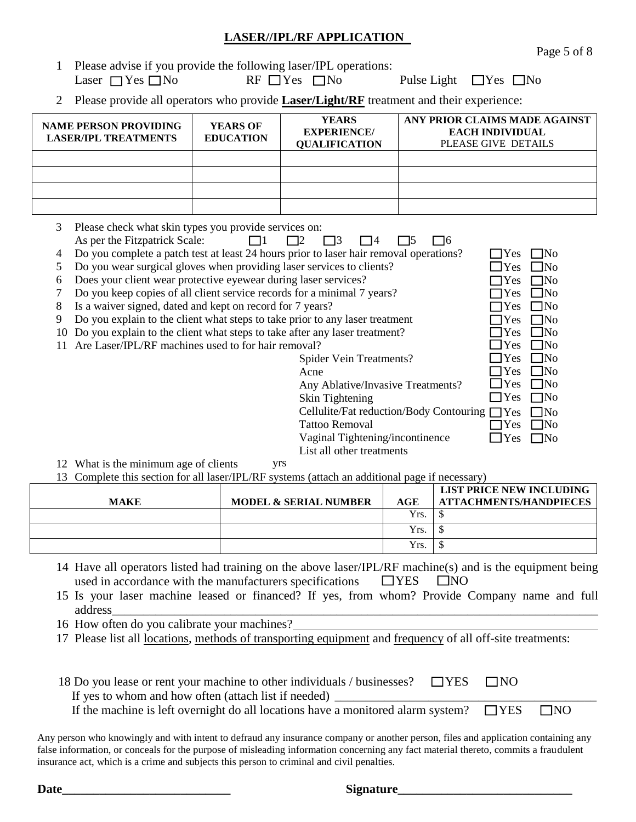## **LASER//IPL/RF APPLICATION**

Page 5 of 8

| 1 Please advise if you provide the following laser/IPL operations: |                       |                                  |
|--------------------------------------------------------------------|-----------------------|----------------------------------|
| Laser $\Box$ Yes $\Box$ No                                         | $RF \Box Yes \Box No$ | Pulse Light $\Box$ Yes $\Box$ No |

2 Please provide all operators who provide **Laser/Light/RF** treatment and their experience:

| <b>NAME PERSON PROVIDING</b><br><b>LASER/IPL TREATMENTS</b>                                                                                                                                                                                                                        |                                                                                                                                                                                                                                                                                                                                                                                                                                                                                                                                                                                                                                                                          | <b>YEARS OF</b><br><b>EDUCATION</b> |  | <b>YEARS</b><br>ANY PRIOR CLAIMS MADE AGAINST<br><b>EACH INDIVIDUAL</b><br><b>EXPERIENCE/</b><br><b>QUALIFICATION</b><br>PLEASE GIVE DETAILS |                                                                                   |  |
|------------------------------------------------------------------------------------------------------------------------------------------------------------------------------------------------------------------------------------------------------------------------------------|--------------------------------------------------------------------------------------------------------------------------------------------------------------------------------------------------------------------------------------------------------------------------------------------------------------------------------------------------------------------------------------------------------------------------------------------------------------------------------------------------------------------------------------------------------------------------------------------------------------------------------------------------------------------------|-------------------------------------|--|----------------------------------------------------------------------------------------------------------------------------------------------|-----------------------------------------------------------------------------------|--|
|                                                                                                                                                                                                                                                                                    |                                                                                                                                                                                                                                                                                                                                                                                                                                                                                                                                                                                                                                                                          |                                     |  |                                                                                                                                              |                                                                                   |  |
|                                                                                                                                                                                                                                                                                    |                                                                                                                                                                                                                                                                                                                                                                                                                                                                                                                                                                                                                                                                          |                                     |  |                                                                                                                                              |                                                                                   |  |
|                                                                                                                                                                                                                                                                                    |                                                                                                                                                                                                                                                                                                                                                                                                                                                                                                                                                                                                                                                                          |                                     |  |                                                                                                                                              |                                                                                   |  |
| 3<br>4<br>5<br>6<br>8<br>9<br>10                                                                                                                                                                                                                                                   | Please check what skin types you provide services on:<br>As per the Fitzpatrick Scale:<br>- 13<br>- 16<br>12<br>l 14<br>- 15<br>Do you complete a patch test at least 24 hours prior to laser hair removal operations?<br>Do you wear surgical gloves when providing laser services to clients?<br>Does your client wear protective eyewear during laser services?<br>Do you keep copies of all client service records for a minimal 7 years?<br>Is a waiver signed, dated and kept on record for 7 years?<br>Do you explain to the client what steps to take prior to any laser treatment<br>Do you explain to the client what steps to take after any laser treatment? |                                     |  |                                                                                                                                              |                                                                                   |  |
| Are Laser/IPL/RF machines used to for hair removal?<br>Yes<br>11<br>Spider Vein Treatments?<br>Yes<br>Yes<br>Acne<br>Yes<br>Any Ablative/Invasive Treatments?<br>Skin Tightening<br>Yes<br>Cellulite/Fat reduction/Body Contouring □<br>Yes<br><b>Tattoo Removal</b><br>$\Box$ Yes |                                                                                                                                                                                                                                                                                                                                                                                                                                                                                                                                                                                                                                                                          |                                     |  |                                                                                                                                              | $\neg$ No<br>$\Box$ No<br>$\Box$ No<br>$\Box$ No<br>$\Box$ No<br>7No<br>$\Box$ No |  |

Vaginal Tightening/incontinence List all other treatments  $\text{Yes} \square \text{No}$ 

- 12 What is the minimum age of clients yrs
- 13 Complete this section for all laser/IPL/RF systems (attach an additional page if necessary)

|             |                                  |      | LIST PRICE NEW INCLUDING      |
|-------------|----------------------------------|------|-------------------------------|
| <b>MAKE</b> | <b>MODEL &amp; SERIAL NUMBER</b> | AGE  | <b>ATTACHMENTS/HANDPIECES</b> |
|             |                                  | Yrs. |                               |
|             |                                  | Yrs. |                               |
|             |                                  | Yrs. |                               |

- 14 Have all operators listed had training on the above laser/IPL/RF machine(s) and is the equipment being used in accordance with the manufacturers specifications  $\Box$  YES  $\Box$  NO
- 15 Is your laser machine leased or financed? If yes, from whom? Provide Company name and full address\_\_\_\_\_\_\_\_\_\_\_\_\_\_\_\_\_\_\_\_\_\_\_\_\_\_\_\_\_\_\_\_\_\_\_\_\_\_\_\_\_\_\_\_\_\_\_\_\_\_\_\_\_\_\_\_\_\_\_\_\_\_\_\_\_\_\_\_\_\_\_\_\_\_\_\_\_\_
- 16 How often do you calibrate your machines?
- 17 Please list all <u>locations</u>, methods of transporting equipment and frequency of all off-site treatments:

| 18 Do you lease or rent your machine to other individuals / businesses? $\Box$ YES $\Box$ NO |  |            |  |
|----------------------------------------------------------------------------------------------|--|------------|--|
| If yes to whom and how often (attach list if needed) _                                       |  |            |  |
| If the machine is left overnight do all locations have a monitored alarm system? $\Box$ YES  |  | <b>TNO</b> |  |

Any person who knowingly and with intent to defraud any insurance company or another person, files and application containing any false information, or conceals for the purpose of misleading information concerning any fact material thereto, commits a fraudulent insurance act, which is a crime and subjects this person to criminal and civil penalties.

**Date\_\_\_\_\_\_\_\_\_\_\_\_\_\_\_\_\_\_\_\_\_\_\_\_\_\_\_ Signature\_\_\_\_\_\_\_\_\_\_\_\_\_\_\_\_\_\_\_\_\_\_\_\_\_\_\_\_**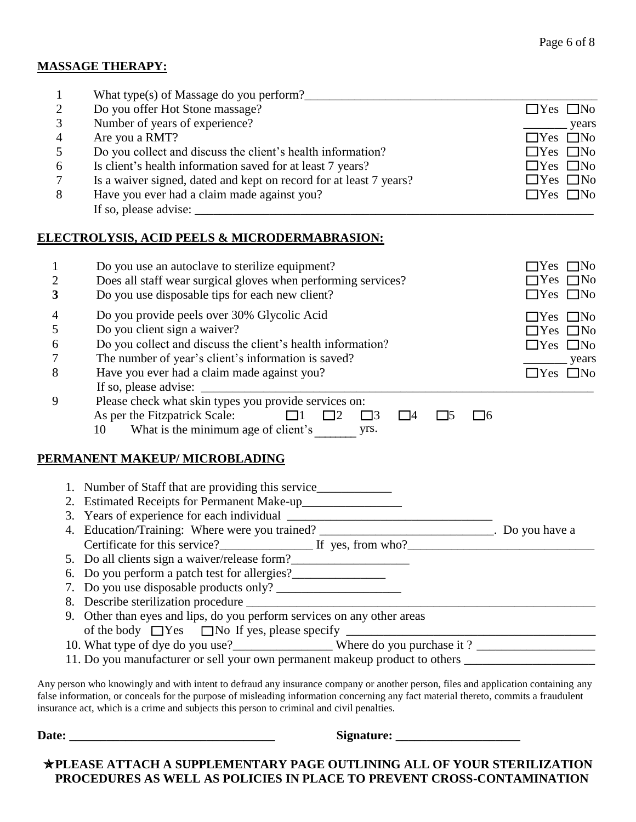#### **MASSAGE THERAPY:**

| $\mathbf{1}$   |    | What type(s) of Massage do you perform?                                                                        |                      |
|----------------|----|----------------------------------------------------------------------------------------------------------------|----------------------|
| 2              |    | Do you offer Hot Stone massage?                                                                                | $\Box$ Yes $\Box$ No |
| 3              |    | Number of years of experience?                                                                                 | _years               |
| $\overline{4}$ |    | Are you a RMT?                                                                                                 | $\Box$ Yes $\Box$ No |
| 5              |    | Do you collect and discuss the client's health information?                                                    | $\Box$ Yes $\Box$ No |
| 6              |    | Is client's health information saved for at least 7 years?                                                     | $\Box$ Yes $\Box$ No |
| 7              |    | Is a waiver signed, dated and kept on record for at least 7 years?                                             | $\Box$ Yes $\Box$ No |
| 8              |    | Have you ever had a claim made against you?                                                                    | $\Box$ Yes $\Box$ No |
|                |    | <u>ELECTROLYSIS, ACID PEELS &amp; MICRODERMABRASION:</u>                                                       |                      |
| $\mathbf 1$    |    | Do you use an autoclave to sterilize equipment?                                                                | $\Box$ Yes $\Box$ No |
| $\mathbf{2}$   |    | Does all staff wear surgical gloves when performing services?                                                  | $\Box$ Yes $\Box$ No |
| $\mathbf{3}$   |    | Do you use disposable tips for each new client?                                                                | $\Box$ Yes $\Box$ No |
| $\overline{4}$ |    | Do you provide peels over 30% Glycolic Acid                                                                    | $\Box$ Yes $\Box$ No |
| 5              |    | Do you client sign a waiver?                                                                                   | $\Box$ Yes $\Box$ No |
| 6              |    | Do you collect and discuss the client's health information?                                                    | $\Box$ Yes $\Box$ No |
| 7              |    | The number of year's client's information is saved?                                                            | years                |
| 8              |    | Have you ever had a claim made against you?                                                                    | $\Box$ Yes $\Box$ No |
|                |    |                                                                                                                |                      |
| 9              |    | Please check what skin types you provide services on:                                                          |                      |
|                |    | As per the Fitzpatrick Scale: $\Box$ 1 $\Box$ 2 $\Box$ 3<br>$\Box$ 4<br>$\Box$ 5<br>$\Box 6$                   |                      |
|                |    | 10                                                                                                             |                      |
|                |    | PERMANENT MAKEUP/MICROBLADING                                                                                  |                      |
|                |    | 1. Number of Staff that are providing this service______________________________                               |                      |
|                |    |                                                                                                                |                      |
|                |    |                                                                                                                |                      |
|                |    | 4. Education/Training: Where were you trained? ___________________________. Do you have a                      |                      |
|                |    | Certificate for this service?<br>If yes, from who?                                                             |                      |
|                |    | 5. Do all clients sign a waiver/release form?                                                                  |                      |
|                | 6. | Do you perform a patch test for allergies?                                                                     |                      |
|                | 7. |                                                                                                                |                      |
|                |    |                                                                                                                |                      |
|                |    | 8. Describe sterilization procedure<br>9. Other than eyes and lips, do you perform services on any other areas |                      |
|                |    |                                                                                                                |                      |
|                |    | 10. What type of dye do you use?<br>Where do you purchase it?                                                  |                      |
|                |    | 11. Do you manufacturer or sell your own permanent makeup product to others ________________________           |                      |

Any person who knowingly and with intent to defraud any insurance company or another person, files and application containing any false information, or conceals for the purpose of misleading information concerning any fact material thereto, commits a fraudulent insurance act, which is a crime and subjects this person to criminal and civil penalties.

**Date: \_\_\_\_\_\_\_\_\_\_\_\_\_\_\_\_\_\_\_\_\_\_\_\_\_\_\_\_\_\_\_\_\_ Signature: \_\_\_\_\_\_\_\_\_\_\_\_\_\_\_\_\_\_\_\_**

**PLEASE ATTACH A SUPPLEMENTARY PAGE OUTLINING ALL OF YOUR STERILIZATION PROCEDURES AS WELL AS POLICIES IN PLACE TO PREVENT CROSS-CONTAMINATION**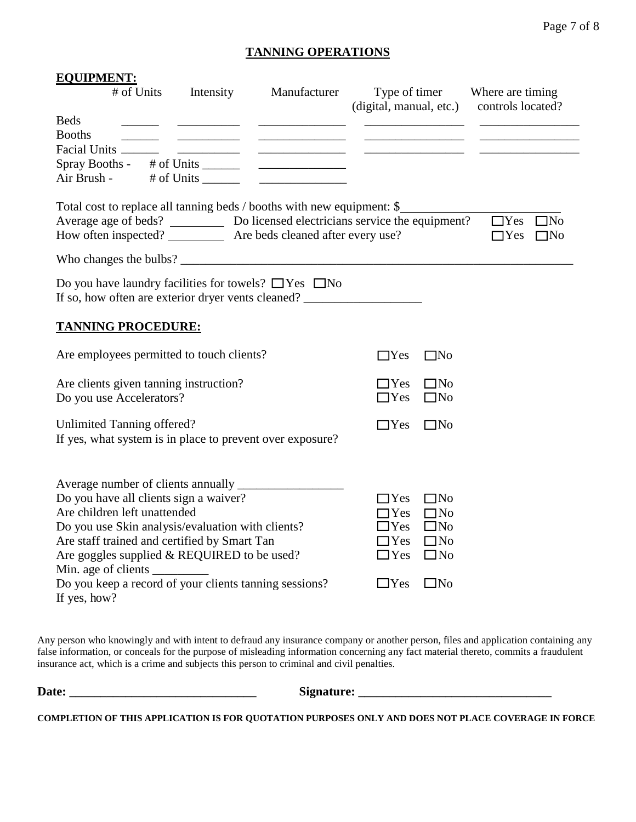### **TANNING OPERATIONS**

| <b>EQUIPMENT:</b><br># of Units                                                                                                                                                                                       | Intensity | Manufacturer                                                                                                                                                                                                                         |                         |              | Type of timer Where are timing                  |
|-----------------------------------------------------------------------------------------------------------------------------------------------------------------------------------------------------------------------|-----------|--------------------------------------------------------------------------------------------------------------------------------------------------------------------------------------------------------------------------------------|-------------------------|--------------|-------------------------------------------------|
|                                                                                                                                                                                                                       |           |                                                                                                                                                                                                                                      | (digital, manual, etc.) |              | controls located?                               |
| <b>Beds</b><br><b>Booths</b>                                                                                                                                                                                          |           |                                                                                                                                                                                                                                      |                         |              |                                                 |
| Facial Units _______                                                                                                                                                                                                  |           | <u> The Common Common Common Common Common Common Common Common Common Common Common Common Common Common Common Common Common Common Common Common Common Common Common Common Common Common Common Common Common Common Common</u> |                         |              |                                                 |
|                                                                                                                                                                                                                       |           |                                                                                                                                                                                                                                      |                         |              |                                                 |
| Air Brush - # of Units _______                                                                                                                                                                                        |           | <u> The Communication of the Communication</u>                                                                                                                                                                                       |                         |              |                                                 |
| Total cost to replace all tanning beds / booths with new equipment: \$<br>Average age of beds? Do licensed electricians service the equipment?<br>How often inspected? ____________ Are beds cleaned after every use? |           |                                                                                                                                                                                                                                      |                         |              | $\Box$ Yes $\Box$ No<br>$\Box$ Yes<br>$\Box$ No |
|                                                                                                                                                                                                                       |           |                                                                                                                                                                                                                                      |                         |              |                                                 |
| Do you have laundry facilities for towels? $\Box$ Yes $\Box$ No<br>If so, how often are exterior dryer vents cleaned? ______________________________                                                                  |           |                                                                                                                                                                                                                                      |                         |              |                                                 |
| <b>TANNING PROCEDURE:</b>                                                                                                                                                                                             |           |                                                                                                                                                                                                                                      |                         |              |                                                 |
| Are employees permitted to touch clients?                                                                                                                                                                             |           |                                                                                                                                                                                                                                      | $\Box$ Yes              | $\square$ No |                                                 |
| Are clients given tanning instruction?                                                                                                                                                                                |           |                                                                                                                                                                                                                                      | $\Box$ Yes              | $\Box$ No    |                                                 |
| Do you use Accelerators?                                                                                                                                                                                              |           |                                                                                                                                                                                                                                      | $\Box$ Yes              | $\square$ No |                                                 |
| Unlimited Tanning offered?                                                                                                                                                                                            |           |                                                                                                                                                                                                                                      | $\Box$ Yes              | $\square$ No |                                                 |
| If yes, what system is in place to prevent over exposure?                                                                                                                                                             |           |                                                                                                                                                                                                                                      |                         |              |                                                 |
|                                                                                                                                                                                                                       |           |                                                                                                                                                                                                                                      |                         |              |                                                 |
|                                                                                                                                                                                                                       |           |                                                                                                                                                                                                                                      |                         |              |                                                 |
| Do you have all clients sign a waiver?                                                                                                                                                                                |           |                                                                                                                                                                                                                                      | $\Box$ Yes              | $\square$ No |                                                 |
| Are children left unattended                                                                                                                                                                                          |           |                                                                                                                                                                                                                                      | $\bigcap$ Yes           | $\square$ No |                                                 |
| Do you use Skin analysis/evaluation with clients?                                                                                                                                                                     |           |                                                                                                                                                                                                                                      | $\Box$ Yes              | $\Box$ No    |                                                 |
| Are staff trained and certified by Smart Tan                                                                                                                                                                          |           |                                                                                                                                                                                                                                      | $\Box$ Yes              | $\Box$ No    |                                                 |
| Are goggles supplied & REQUIRED to be used?                                                                                                                                                                           |           |                                                                                                                                                                                                                                      | $\Box$ Yes              | $\square$ No |                                                 |
| Do you keep a record of your clients tanning sessions?                                                                                                                                                                |           |                                                                                                                                                                                                                                      | $\Box$ Yes              | $\square$ No |                                                 |
| If yes, how?                                                                                                                                                                                                          |           |                                                                                                                                                                                                                                      |                         |              |                                                 |

Any person who knowingly and with intent to defraud any insurance company or another person, files and application containing any false information, or conceals for the purpose of misleading information concerning any fact material thereto, commits a fraudulent insurance act, which is a crime and subjects this person to criminal and civil penalties.

**Date: \_\_\_\_\_\_\_\_\_\_\_\_\_\_\_\_\_\_\_\_\_\_\_\_\_\_\_\_\_\_ Signature: \_\_\_\_\_\_\_\_\_\_\_\_\_\_\_\_\_\_\_\_\_\_\_\_\_\_\_\_\_\_\_**

**COMPLETION OF THIS APPLICATION IS FOR QUOTATION PURPOSES ONLY AND DOES NOT PLACE COVERAGE IN FORCE**